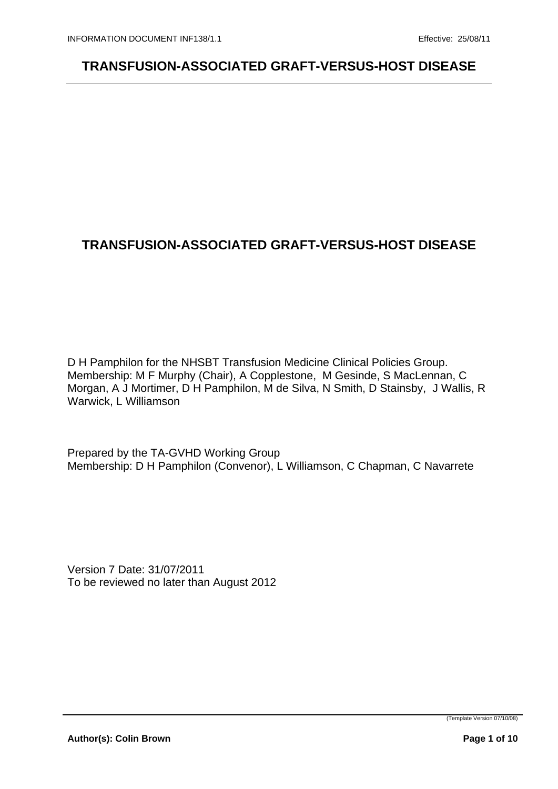## **TRANSFUSION-ASSOCIATED GRAFT-VERSUS-HOST DISEASE**

D H Pamphilon for the NHSBT Transfusion Medicine Clinical Policies Group. Membership: M F Murphy (Chair), A Copplestone, M Gesinde, S MacLennan, C Morgan, A J Mortimer, D H Pamphilon, M de Silva, N Smith, D Stainsby, J Wallis, R Warwick, L Williamson

Prepared by the TA-GVHD Working Group Membership: D H Pamphilon (Convenor), L Williamson, C Chapman, C Navarrete

Version 7 Date: 31/07/2011 To be reviewed no later than August 2012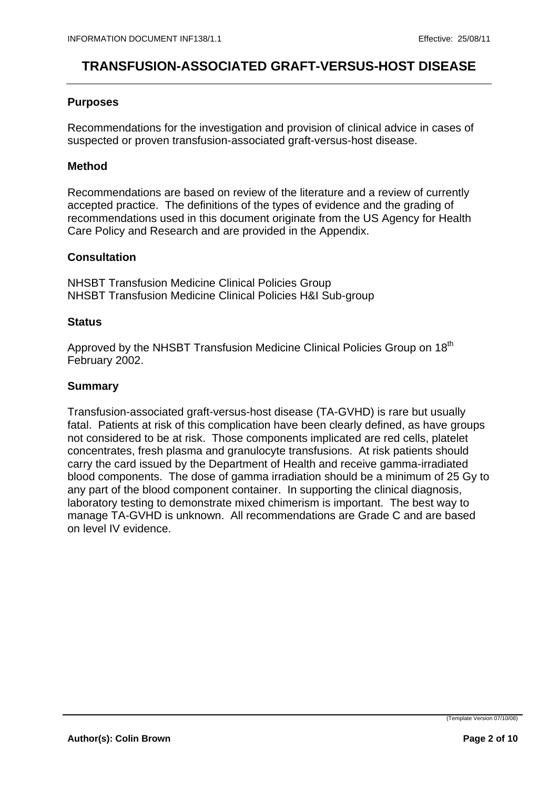### **Purposes**

Recommendations for the investigation and provision of clinical advice in cases of suspected or proven transfusion-associated graft-versus-host disease.

#### **Method**

Recommendations are based on review of the literature and a review of currently accepted practice. The definitions of the types of evidence and the grading of recommendations used in this document originate from the US Agency for Health Care Policy and Research and are provided in the Appendix.

### **Consultation**

NHSBT Transfusion Medicine Clinical Policies Group NHSBT Transfusion Medicine Clinical Policies H&I Sub-group

### **Status Status Status Status Status Status Status Status Status Status**

Approved by the NHSBT Transfusion Medicine Clinical Policies Group on 18<sup>th</sup> February 2002.

### **Summary**

Transfusion-associated graft-versus-host disease (TA-GVHD) is rare but usually fatal. Patients at risk of this complication have been clearly defined, as have groups not considered to be at risk. Those components implicated are red cells, platelet concentrates, fresh plasma and granulocyte transfusions. At risk patients should carry the card issued by the Department of Health and receive gamma-irradiated blood components. The dose of gamma irradiation should be a minimum of 25 Gy to any part of the blood component container. In supporting the clinical diagnosis, laboratory testing to demonstrate mixed chimerism is important. The best way to manage TA-GVHD is unknown. All recommendations are Grade C and are based on level IV evidence.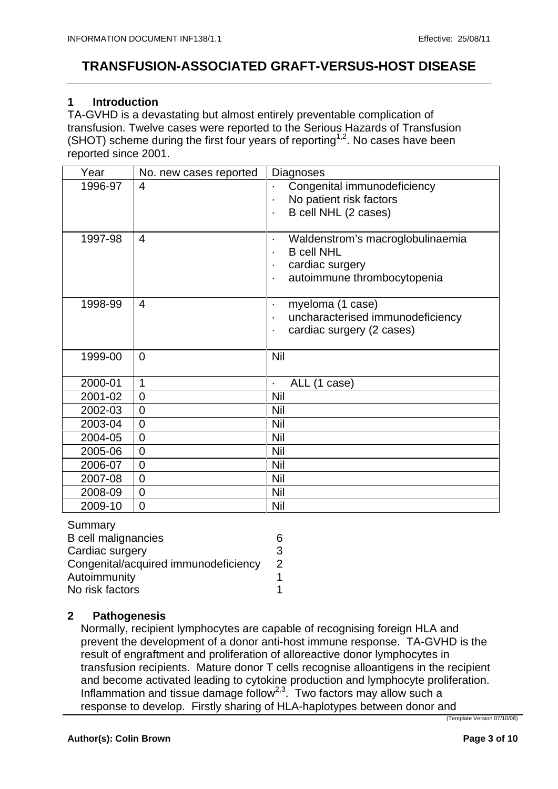### **1 Introduction**

TA-GVHD is a devastating but almost entirely preventable complication of transfusion. Twelve cases were reported to the Serious Hazards of Transfusion (SHOT) scheme during the first four years of reporting<sup>1,2</sup>. No cases have been reported since 2001.

| No. new cases reported   Diagnoses<br>Year |                                                                                                         |
|--------------------------------------------|---------------------------------------------------------------------------------------------------------|
| 1996-97 4                                  | Congenital immunodeficiency<br>No patient risk factors<br>B cell NHL (2 cases)                          |
| $1997-98$ 4                                | Waldenstrom's macroglobulinaemia<br><b>B</b> cell NHL<br>cardiac surgery<br>autoimmune thrombocytopenia |
| $1998-99$ 4                                | myeloma (1 case)<br>uncharacterised immunodeficiency<br>cardiac surgery (2 cases)                       |
| $1999-00$ 0                                | Nil                                                                                                     |
| $2000-01$ 1                                | ALL (1 case)                                                                                            |
| $2001 - 02$ 0                              | Nil                                                                                                     |
| $2002 - 03$ 0                              | Nil                                                                                                     |
| $2003 - 04$ 0                              | <b>Nil</b>                                                                                              |
| $2004 - 05$ 0                              | Nil                                                                                                     |
| $2005 - 06$ 0                              | Nil                                                                                                     |
| $2006 - 07$ 0                              | Nil                                                                                                     |
| $2007 - 08$ 0                              | Nil                                                                                                     |
| $2008-09$ 0                                | $\overline{\phantom{a}}$ Nil                                                                            |
| $2009-10$ 0                                | $\overline{\phantom{a}}$ Nil                                                                            |

| Summary                              |  |  |
|--------------------------------------|--|--|
| <b>B</b> cell malignancies           |  |  |
| Cardiac surgery                      |  |  |
| Congenital/acquired immunodeficiency |  |  |
| Autoimmunity                         |  |  |
| No risk factors                      |  |  |

### **2 Pathogenesis**

Normally, recipient lymphocytes are capable of recognising foreign HLA and prevent the development of a donor anti-host immune response. TA-GVHD is the result of engraftment and proliferation of alloreactive donor lymphocytes in transfusion recipients. Mature donor T cells recognise alloantigens in the recipient and become activated leading to cytokine production and lymphocyte proliferation. Inflammation and tissue damage follow<sup>2,3</sup>. Two factors may allow such a response to develop. Firstly sharing of HLA-haplotypes between donor and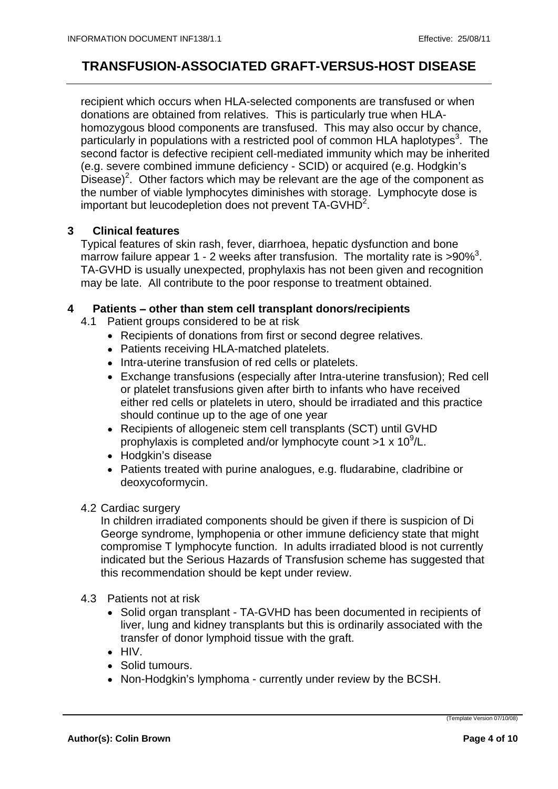recipient which occurs when HLA-selected components are transfused or when donations are obtained from relatives. This is particularly true when HLA homozygous blood components are transfused. This may also occur by chance, particularly in populations with a restricted pool of common HLA haplotypes<sup>3</sup>. The . The second factor is defective recipient cell-mediated immunity which may be inherited (e.g. severe combined immune deficiency - SCID) or acquired (e.g. Hodgkin's Disease)<sup>2</sup>. Other factors which may be relevant are the age of the component as the number of viable lymphocytes diminishes with storage. Lymphocyte dose is important but leucodepletion does not prevent TA-GVHD<sup>2</sup>. . A construction of the construction of the construction of the construction of the construction of the construction of the construction of the construction of the construction of the construction of the construction of th

#### **3 Clinical features**

Typical features of skin rash, fever, diarrhoea, hepatic dysfunction and bone marrow failure appear 1 - 2 weeks after transfusion. The mortality rate is  $>90\%$ <sup>3</sup>. . TA-GVHD is usually unexpected, prophylaxis has not been given and recognition may be late. All contribute to the poor response to treatment obtained.

#### **4 Patients – other than stem cell transplant donors/recipients**

- 4.1 Patient groups considered to be at risk
	- Recipients of donations from first or second degree relatives.
	- Patients receiving HLA-matched platelets.
	- Intra-uterine transfusion of red cells or platelets.
	- Exchange transfusions (especially after Intra-uterine transfusion); Red cell or platelet transfusions given after birth to infants who have received either red cells or platelets in utero, should be irradiated and this practice should continue up to the age of one year
	- Recipients of allogeneic stem cell transplants (SCT) until GVHD prophylaxis is completed and/or lymphocyte count  $>1 \times 10^9$ /L. /L.
	- Hodgkin's disease when the control of the control of the control of the control of the control of the control of the control of the control of the control of the control of the control of the control of the control of the
	- Patients treated with purine analogues, e.g. fludarabine, cladribine or deoxycoformycin.

#### 4.2 Cardiac surgery

In children irradiated components should be given if there is suspicion of Di George syndrome, lymphopenia or other immune deficiency state that might compromise T lymphocyte function. In adults irradiated blood is not currently indicated but the Serious Hazards of Transfusion scheme has suggested that this recommendation should be kept under review.

- 4.3 Patients not at risk
	- Solid organ transplant TA-GVHD has been documented in recipients of liver, lung and kidney transplants but this is ordinarily associated with the transfer of donor lymphoid tissue with the graft.
	- HIV.
	- Solid tumours.
	- Non-Hodgkin's lymphoma currently under review by the BCSH.

(Template Version 07/10/08)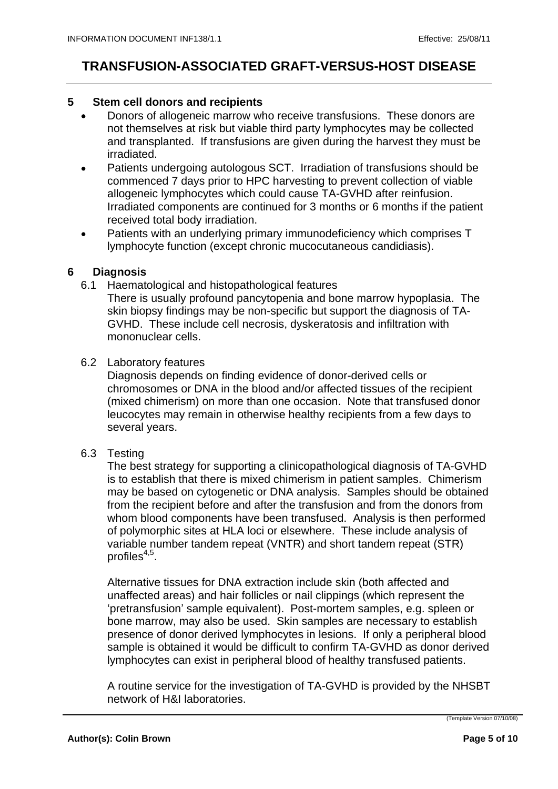#### **5 Stem cell donors and recipients**

- Donors of allogeneic marrow who receive transfusions. These donors are not themselves at risk but viable third party lymphocytes may be collected and transplanted. If transfusions are given during the harvest they must be irradiated.
- Patients undergoing autologous SCT. Irradiation of transfusions should be commenced 7 days prior to HPC harvesting to prevent collection of viable allogeneic lymphocytes which could cause TA-GVHD after reinfusion. Irradiated components are continued for 3 months or 6 months if the patient received total body irradiation.
- Patients with an underlying primary immunodeficiency which comprises T  $\bullet$ lymphocyte function (except chronic mucocutaneous candidiasis).

#### **6 Diagnosis**

6.1 Haematological and histopathological features

There is usually profound pancytopenia and bone marrow hypoplasia. The skin biopsy findings may be non-specific but support the diagnosis of TA- GVHD. These include cell necrosis, dyskeratosis and infiltration with mononuclear cells.

6.2 Laboratory features

Diagnosis depends on finding evidence of donor-derived cells or chromosomes or DNA in the blood and/or affected tissues of the recipient (mixed chimerism) on more than one occasion. Note that transfused donor leucocytes may remain in otherwise healthy recipients from a few days to several years.

6.3 Testing

The best strategy for supporting a clinicopathological diagnosis of TA-GVHD is to establish that there is mixed chimerism in patient samples. Chimerism may be based on cytogenetic or DNA analysis. Samples should be obtained from the recipient before and after the transfusion and from the donors from whom blood components have been transfused. Analysis is then performed of polymorphic sites at HLA loci or elsewhere. These include analysis of variable number tandem repeat (VNTR) and short tandem repeat (STR)  $\mathsf{profiles}^{4,5}$ . profiles<sup>4,5</sup>.<br>Alternative tissues for DNA extraction include skin (both affected and

unaffected areas) and hair follicles or nail clippings (which represent the 'pretransfusion' sample equivalent). Post-mortem samples, e.g. spleen or bone marrow, may also be used. Skin samples are necessary to establish presence of donor derived lymphocytes in lesions. If only a peripheral blood sample is obtained it would be difficult to confirm TA-GVHD as donor derived lymphocytes can exist in peripheral blood of healthy transfused patients.

A routine service for the investigation of TA-GVHD is provided by the NHSBT network of H&I laboratories.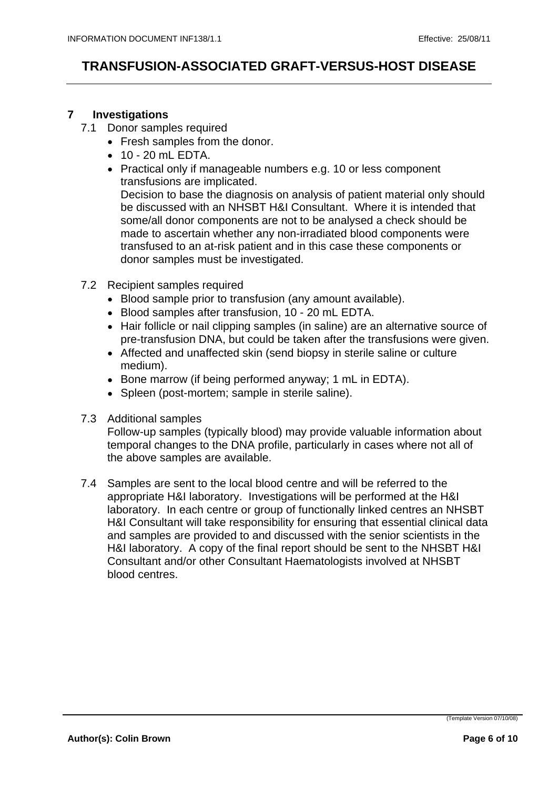### **7 Investigations**

- 7.1 Donor samples required
	- Fresh samples from the donor.
	- 10 20 mL EDTA.
	- Practical only if manageable numbers e.g. 10 or less component transfusions are implicated. Decision to base the diagnosis on analysis of patient material only should

be discussed with an NHSBT H&I Consultant. Where it is intended that some/all donor components are not to be analysed a check should be made to ascertain whether any non-irradiated blood components were transfused to an at-risk patient and in this case these components or donor samples must be investigated.

- 7.2 Recipient samples required
	- Blood sample prior to transfusion (any amount available).
	- Blood samples after transfusion, 10 20 mL EDTA.
	- Hair follicle or nail clipping samples (in saline) are an alternative source of pre-transfusion DNA, but could be taken after the transfusions were given.
	- Affected and unaffected skin (send biopsy in sterile saline or culture medium).
	- Bone marrow (if being performed anyway; 1 mL in EDTA).
	- Spleen (post-mortem; sample in sterile saline).
- 7.3 Additional samples

Follow-up samples (typically blood) may provide valuable information about temporal changes to the DNA profile, particularly in cases where not all of the above samples are available.

7.4 Samples are sent to the local blood centre and will be referred to the appropriate H&I laboratory. Investigations will be performed at the H&I laboratory. In each centre or group of functionally linked centres an NHSBT H&I Consultant will take responsibility for ensuring that essential clinical data and samples are provided to and discussed with the senior scientists in the H&I laboratory. A copy of the final report should be sent to the NHSBT H&I Consultant and/or other Consultant Haematologists involved at NHSBT blood centres.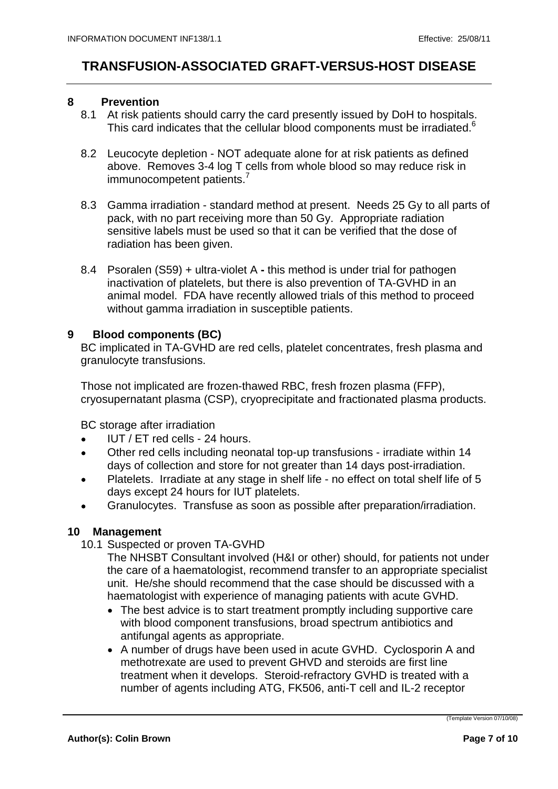#### **8 Prevention**

- 8.1 At risk patients should carry the card presently issued by DoH to hospitals. This card indicates that the cellular blood components must be irradiated.<sup>6</sup>
- 8.2 Leucocyte depletion NOT adequate alone for at risk patients as defined above. Removes 3-4 log T cells from whole blood so may reduce risk in immunocompetent patients.<sup>7</sup>
- 8.3 Gamma irradiation standard method at present. Needs 25 Gy to all parts of pack, with no part receiving more than 50 Gy. Appropriate radiation sensitive labels must be used so that it can be verified that the dose of radiation has been given.
- 8.4 Psoralen (S59) + ultra-violet A **-** this method is under trial for pathogen inactivation of platelets, but there is also prevention of TA-GVHD in an animal model. FDA have recently allowed trials of this method to proceed without gamma irradiation in susceptible patients.

### **9 Blood components (BC)**

BC implicated in TA-GVHD are red cells, platelet concentrates, fresh plasma and granulocyte transfusions.

Those not implicated are frozen-thawed RBC, fresh frozen plasma (FFP), cryosupernatant plasma (CSP), cryoprecipitate and fractionated plasma products.

BC storage after irradiation

- IUT / ET red cells 24 hours.  $\bullet$
- Other red cells including neonatal top-up transfusions irradiate within 14  $\bullet$ days of collection and store for not greater than 14 days post-irradiation.
- Platelets. Irradiate at any stage in shelf life no effect on total shelf life of 5  $\bullet$ days except 24 hours for IUT platelets.
- Granulocytes. Transfuse as soon as possible after preparation/irradiation.

#### **10 Management**

- 10.1 Suspected or proven TA-GVHD
	- The NHSBT Consultant involved (H&I or other) should, for patients not under the care of a haematologist, recommend transfer to an appropriate specialist unit. He/she should recommend that the case should be discussed with a haematologist with experience of managing patients with acute GVHD.
		- The best advice is to start treatment promptly including supportive care with blood component transfusions, broad spectrum antibiotics and antifungal agents as appropriate.
		- A number of drugs have been used in acute GVHD. Cyclosporin A and methotrexate are used to prevent GHVD and steroids are first line treatment when it develops. Steroid-refractory GVHD is treated with a number of agents including ATG, FK506, anti-T cell and IL-2 receptor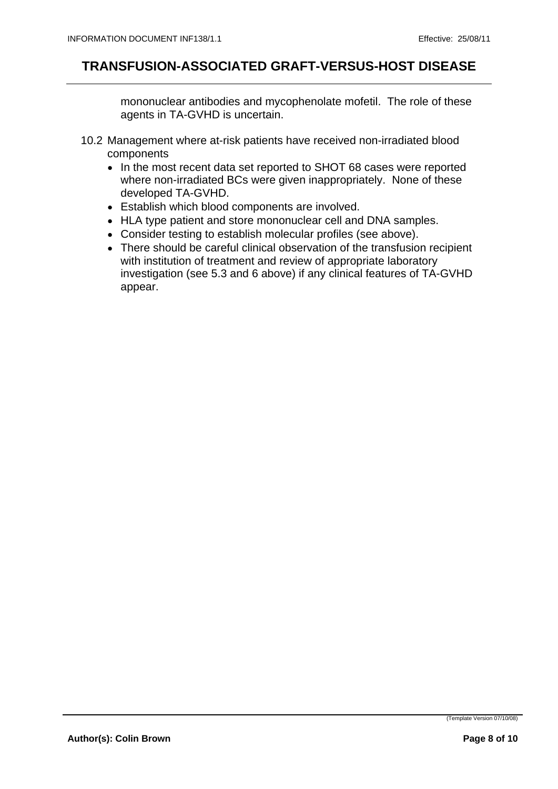mononuclear antibodies and mycophenolate mofetil. The role of these agents in TA-GVHD is uncertain.

- 10.2 Management where at-risk patients have received non-irradiated blood components
	- In the most recent data set reported to SHOT 68 cases were reported where non-irradiated BCs were given inappropriately. None of these developed TA-GVHD.
	- Establish which blood components are involved.
	- HLA type patient and store mononuclear cell and DNA samples.
	- Consider testing to establish molecular profiles (see above).
	- There should be careful clinical observation of the transfusion recipient with institution of treatment and review of appropriate laboratory investigation (see 5.3 and 6 above) if any clinical features of TA-GVHD appear.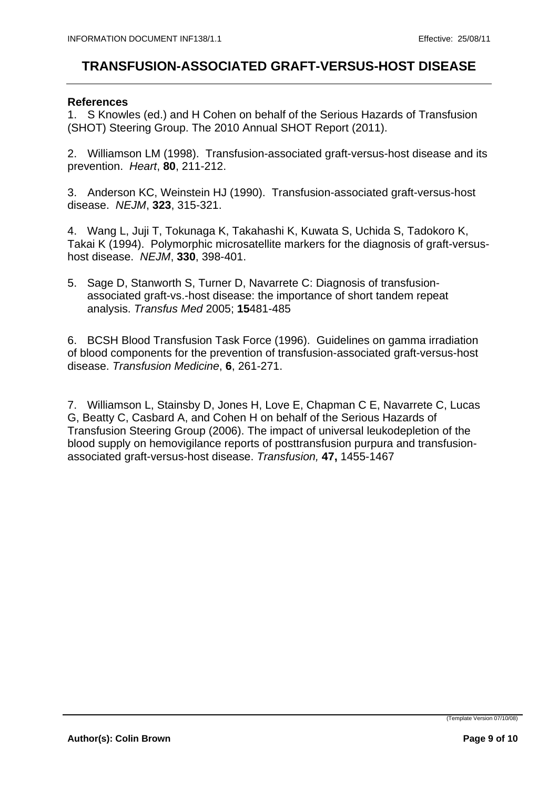#### **References**

1. S Knowles (ed.) and H Cohen on behalf of the Serious Hazards of Transfusion (SHOT) Steering Group. The 2010 Annual SHOT Report (2011).

2. Williamson LM (1998). Transfusion-associated graft-versus-host disease and its prevention. Heart, **80**, 211-212.

3. Anderson KC, Weinstein HJ (1990). Transfusion-associated graft-versus-host disease. NEJM, **323**, 315-321.

4. Wang L, Juji T, Tokunaga K, Takahashi K, Kuwata S, Uchida S, Tadokoro K, Takai K (1994). Polymorphic microsatellite markers for the diagnosis of graft-versus host disease. NEJM, **330**, 398-401.

5. Sage D, Stanworth S, Turner D, Navarrete C: Diagnosis of transfusion associated graft-vs.-host disease: the importance of short tandem repeat analysis. Transfus Med 2005; **15**481-485

6. BCSH Blood Transfusion Task Force (1996). Guidelines on gamma irradiation of blood components for the prevention of transfusion-associated graft-versus-host disease. Transfusion Medicine, **6**, 261-271.

7. Williamson L, Stainsby D, Jones H, Love E, Chapman C E, Navarrete C, Lucas G, Beatty C, Casbard A, and Cohen H on behalf of the Serious Hazards of Transfusion Steering Group (2006). The impact of universal leukodepletion of the blood supply on hemovigilance reports of posttransfusion purpura and transfusion associated graft-versus-host disease. Transfusion, **47,** 1455-1467